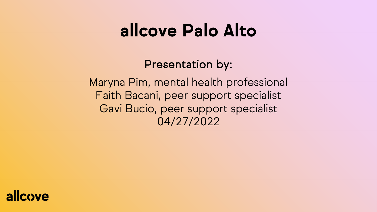## **allcove Palo Alto**

Presentation by:

Maryna Pim, mental health professional Faith Bacani, peer support specialist Gavi Bucio, peer support specialist 04/27/2022

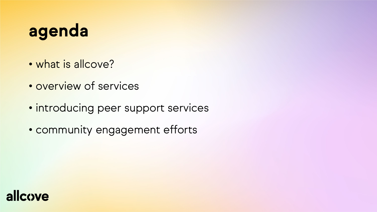## **agenda**

- what is allcove?
- overview of services
- introducing peer support services
- community engagement efforts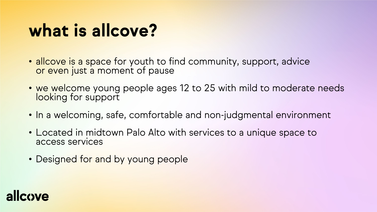## **what is allcove?**

- allcove is a space for youth to find community, support, advice or even just a moment of pause
- we welcome young people ages 12 to 25 with mild to moderate needs looking for support
- In a welcoming, safe, comfortable and non-judgmental environment
- Located in midtown Palo Alto with services to a unique space to access services
- Designed for and by young people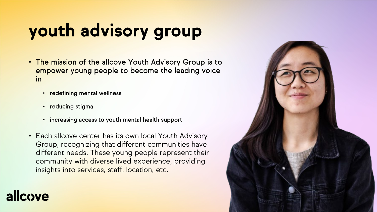# **youth advisory group**

- The mission of the allcove Youth Advisory Group is to empower young people to become the leading voice in
	- redefining mental wellness
	- reducing stigma

- increasing access to youth mental health support
- Each allcove center has its own local Youth Advisory Group, recognizing that different communities have different needs. These young people represent their community with diverse lived experience, providing insights into services, staff, location, etc.

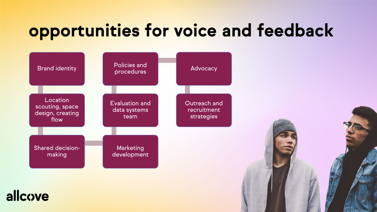## **opportunities for voice and feedback**

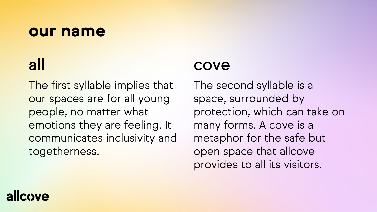### **our name**

## all

The first syllable implies that our spaces are for all young people, no matter what emotions they are feeling. It communicates inclusivity and togetherness.

### cove

The second syllable is a space, surrounded by protection, which can take on many forms. A cove is a metaphor for the safe but open space that allcove provides to all its visitors.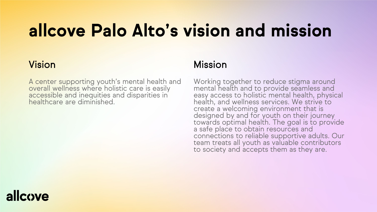## **allcove Palo Alto's vision and mission**

#### Vision

A center supporting youth's mental health and overall wellness where holistic care is easily accessible and inequities and disparities in healthcare are diminished.

#### Mission

Working together to reduce stigma around mental health and to provide seamless and easy access to holistic mental health, physical health, and wellness services. We strive to create a welcoming environment that is designed by and for youth on their journey towards optimal health. The goal is to provide a safe place to obtain resources and connections to reliable supportive adults. Our team treats all youth as valuable contributors to society and accepts them as they are.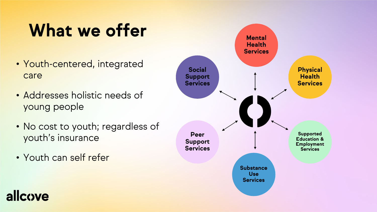## **What we offer <b>Mental**

- Youth-centered, integrated care
- Addresses holistic needs of young people
- No cost to youth; regardless of youth's insurance
- Youth can self refer

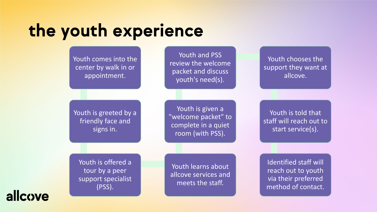## **the youth experience**

Youth comes into the center by walk in or appointment.

Youth and PSS review the welcome packet and discuss youth's need(s).

Youth is greeted by a friendly face and signs in.

Youth is given a "welcome packet" to complete in a quiet room (with PSS).

Youth is offered a tour by a peer support specialist (PSS).

Youth learns about allcove services and meets the staff.

Youth chooses the support they want at allcove.

Youth is told that staff will reach out to start service(s).

Identified staff will reach out to youth via their preferred method of contact.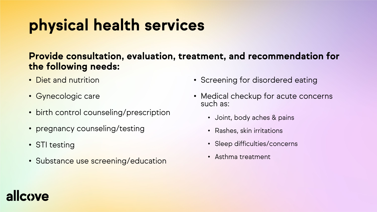## **physical health services**

#### **Provide consultation, evaluation, treatment, and recommendation for the following needs:**

- Diet and nutrition
- Gynecologic care
- birth control counseling/prescription
- pregnancy counseling/testing
- STI testing
- Substance use screening/education
- Screening for disordered eating
- Medical checkup for acute concerns such as:
	- Joint, body aches & pains
	- Rashes, skin irritations
	- Sleep difficulties/concerns
	- Asthma treatment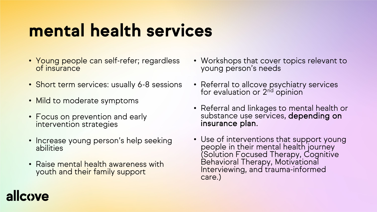## **mental health services**

- Young people can self-refer; regardless<br>of insurance
- Short term services: usually 6-8 sessions
- Mild to moderate symptoms
- Focus on prevention and early intervention strategies
- Increase young person's help seeking abilities
- Raise mental health awareness with youth and their family support
- Workshops that cover topics relevant to young person's needs
- Referral to allcove psychiatry services for evaluation or 2<sup>nd</sup> opinion
- Referral and linkages to mental health or substance use services, depending on<br>insurance plan.
- Use of interventions that support young people in their mental health journey (Solution Focused Therapy, Cognitive Behavioral Therapy, Motivational Interviewing, and trauma-informed care.)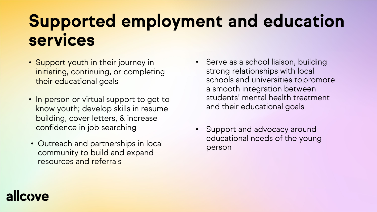## **Supported employment and education services**

- Support youth in their journey in initiating, continuing, or completing their educational goals
- In person or virtual support to get to know youth; develop skills in resume building, cover letters, & increase confidence in job searching
- Outreach and partnerships in local community to build and expand resources and referrals
- Serve as a school liaison, building strong relationships with local schools and universities topromote a smooth integration between students' mental health treatment and their educational goals
- Support and advocacy around educational needs of the young person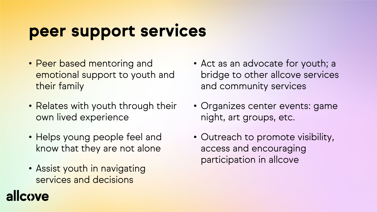## **peer support services**

- Peer based mentoring and emotional support to youth and their family
- Relates with youth through their own lived experience
- Helps young people feel and know that they are not alone
- Assist youth in navigating services and decisions

**I**cove

- Act as an advocate for youth; a bridge to other allcove services and community services
- Organizes center events: game night, art groups, etc.
- Outreach to promote visibility, access and encouraging participation in allcove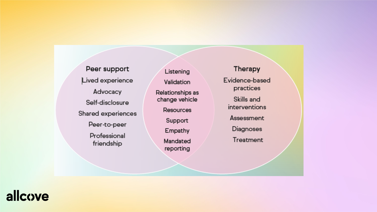Peer support Lived experience Advocacy Self-disclosure Shared experiences Peer-to-peer Professional friendship

Listening Validation Relationships as change vehicle **Resources** Support Empathy Mandated reporting

Therapy Evidence-based practices

Skills and

interventions

Assessment

Diagnoses

Treatment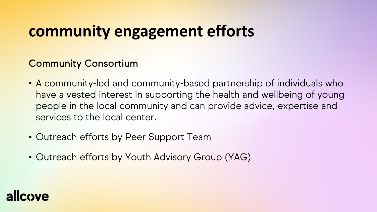## **community engagement efforts**

### Community Consortium

- A community-led and community-based partnership of individuals who have a vested interest in supporting the health and wellbeing of young people in the local community and can provide advice, expertise and services to the local center.
- Outreach efforts by Peer Support Team
- Outreach efforts by Youth Advisory Group (YAG)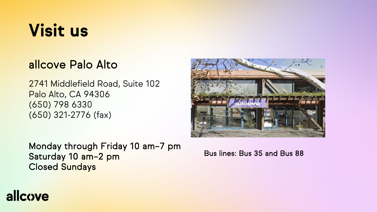## **Visit us**

### allcove Palo Alto

2741 Middlefield Road, Suite 102 Palo Alto, CA 94306 (650) 798 6330 (650) 321-2776 (fax)

Monday through Friday 10 am–7 pm Saturday 10 am–2 pm Closed Sundays

Bus lines: Bus 35 and Bus 88